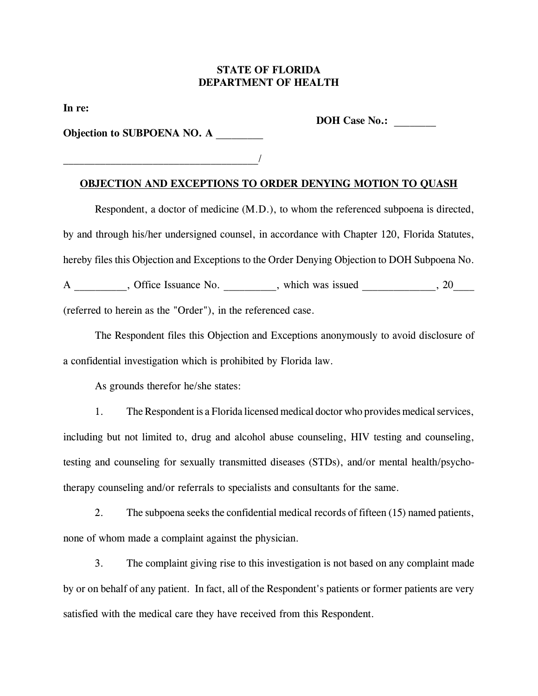## **STATE OF FLORIDA DEPARTMENT OF HEALTH**

**In re:**

**DOH Case No.:** 

**Objection to SUBPOENA NO. A \_\_\_\_\_\_\_\_\_**

 $\overline{\phantom{a}}$ 

## **OBJECTION AND EXCEPTIONS TO ORDER DENYING MOTION TO QUASH**

Respondent, a doctor of medicine (M.D.), to whom the referenced subpoena is directed, by and through his/her undersigned counsel, in accordance with Chapter 120, Florida Statutes, hereby files this Objection and Exceptions to the Order Denying Objection to DOH Subpoena No. A \_\_\_\_\_\_\_\_\_, Office Issuance No. \_\_\_\_\_\_\_\_\_, which was issued \_\_\_\_\_\_\_\_\_\_\_\_\_, 20\_\_\_\_ (referred to herein as the "Order"), in the referenced case.

The Respondent files this Objection and Exceptions anonymously to avoid disclosure of a confidential investigation which is prohibited by Florida law.

As grounds therefor he/she states:

1. The Respondent is a Florida licensed medical doctor who provides medical services, including but not limited to, drug and alcohol abuse counseling, HIV testing and counseling, testing and counseling for sexually transmitted diseases (STDs), and/or mental health/psychotherapy counseling and/or referrals to specialists and consultants for the same.

2. The subpoena seeks the confidential medical records of fifteen (15) named patients, none of whom made a complaint against the physician.

3. The complaint giving rise to this investigation is not based on any complaint made by or on behalf of any patient. In fact, all of the Respondent's patients or former patients are very satisfied with the medical care they have received from this Respondent.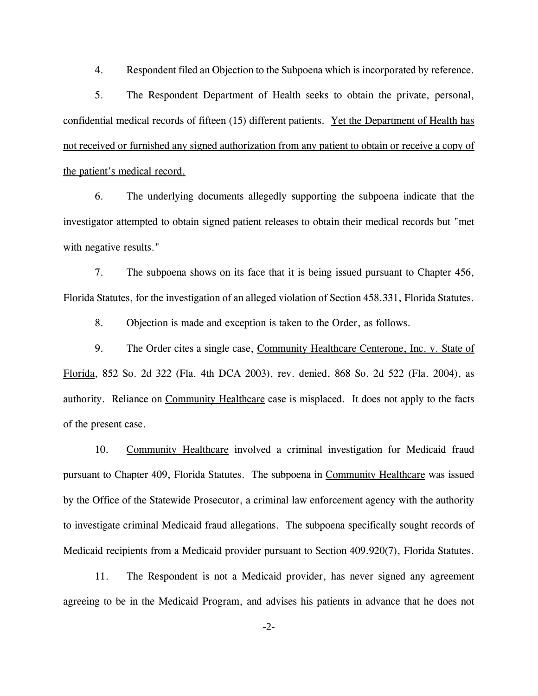4. Respondent filed an Objection to the Subpoena which is incorporated by reference.

5. The Respondent Department of Health seeks to obtain the private, personal, confidential medical records of fifteen (15) different patients. Yet the Department of Health has not received or furnished any signed authorization from any patient to obtain or receive a copy of the patient's medical record.

6. The underlying documents allegedly supporting the subpoena indicate that the investigator attempted to obtain signed patient releases to obtain their medical records but "met with negative results."

7. The subpoena shows on its face that it is being issued pursuant to Chapter 456, Florida Statutes, for the investigation of an alleged violation of Section 458.331, Florida Statutes.

8. Objection is made and exception is taken to the Order, as follows.

9. The Order cites a single case, Community Healthcare Centerone, Inc. v. State of Florida, 852 So. 2d 322 (Fla. 4th DCA 2003), rev. denied, 868 So. 2d 522 (Fla. 2004), as authority. Reliance on Community Healthcare case is misplaced. It does not apply to the facts of the present case.

10. Community Healthcare involved a criminal investigation for Medicaid fraud pursuant to Chapter 409, Florida Statutes. The subpoena in Community Healthcare was issued by the Office of the Statewide Prosecutor, a criminal law enforcement agency with the authority to investigate criminal Medicaid fraud allegations. The subpoena specifically sought records of Medicaid recipients from a Medicaid provider pursuant to Section 409.920(7), Florida Statutes.

11. The Respondent is not a Medicaid provider, has never signed any agreement agreeing to be in the Medicaid Program, and advises his patients in advance that he does not

-2-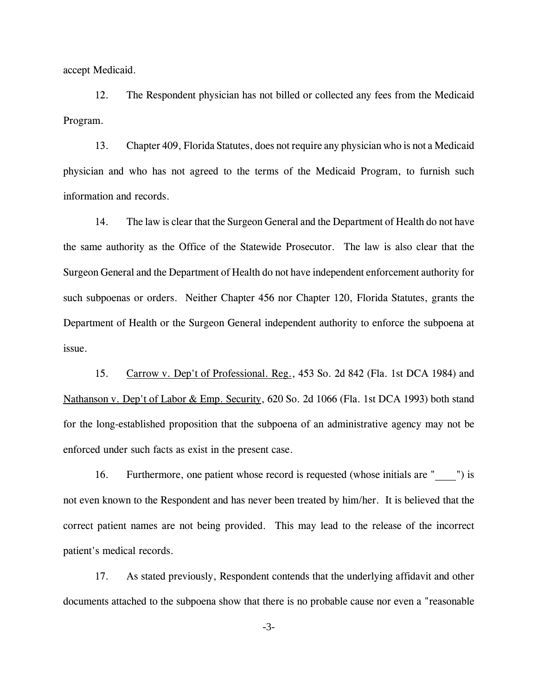accept Medicaid.

12. The Respondent physician has not billed or collected any fees from the Medicaid Program.

13. Chapter 409, Florida Statutes, does not require any physician who is not a Medicaid physician and who has not agreed to the terms of the Medicaid Program, to furnish such information and records.

14. The law is clear that the Surgeon General and the Department of Health do not have the same authority as the Office of the Statewide Prosecutor. The law is also clear that the Surgeon General and the Department of Health do not have independent enforcement authority for such subpoenas or orders. Neither Chapter 456 nor Chapter 120, Florida Statutes, grants the Department of Health or the Surgeon General independent authority to enforce the subpoena at issue.

15. Carrow v. Dep't of Professional. Reg., 453 So. 2d 842 (Fla. 1st DCA 1984) and Nathanson v. Dep't of Labor & Emp. Security, 620 So. 2d 1066 (Fla. 1st DCA 1993) both stand for the long-established proposition that the subpoena of an administrative agency may not be enforced under such facts as exist in the present case.

16. Furthermore, one patient whose record is requested (whose initials are " \_\_\_") is not even known to the Respondent and has never been treated by him/her. It is believed that the correct patient names are not being provided. This may lead to the release of the incorrect patient's medical records.

17. As stated previously, Respondent contends that the underlying affidavit and other documents attached to the subpoena show that there is no probable cause nor even a "reasonable

-3-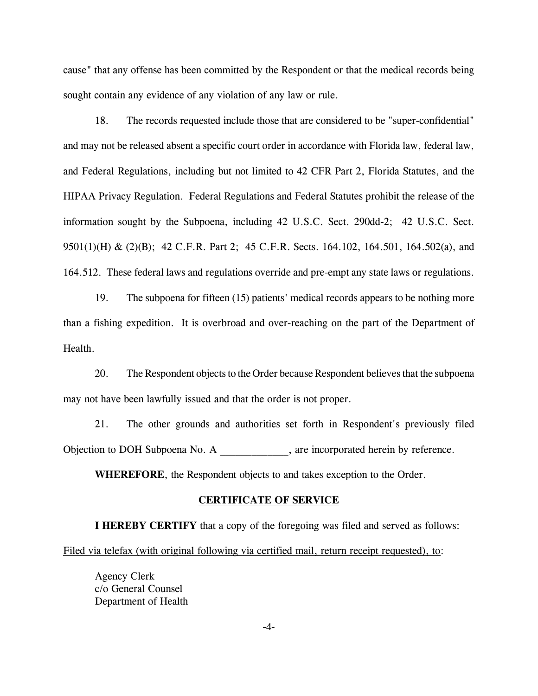cause" that any offense has been committed by the Respondent or that the medical records being sought contain any evidence of any violation of any law or rule.

18. The records requested include those that are considered to be "super-confidential" and may not be released absent a specific court order in accordance with Florida law, federal law, and Federal Regulations, including but not limited to 42 CFR Part 2, Florida Statutes, and the HIPAA Privacy Regulation. Federal Regulations and Federal Statutes prohibit the release of the information sought by the Subpoena, including 42 U.S.C. Sect. 290dd-2; 42 U.S.C. Sect. 9501(1)(H) & (2)(B); 42 C.F.R. Part 2; 45 C.F.R. Sects. 164.102, 164.501, 164.502(a), and 164.512. These federal laws and regulations override and pre-empt any state laws or regulations.

19. The subpoena for fifteen (15) patients' medical records appears to be nothing more than a fishing expedition. It is overbroad and over-reaching on the part of the Department of Health.

20. The Respondent objects to the Order because Respondent believes that the subpoena may not have been lawfully issued and that the order is not proper.

21. The other grounds and authorities set forth in Respondent's previously filed Objection to DOH Subpoena No. A \_\_\_\_\_\_\_\_\_\_\_\_\_, are incorporated herein by reference.

**WHEREFORE**, the Respondent objects to and takes exception to the Order.

## **CERTIFICATE OF SERVICE**

**I HEREBY CERTIFY** that a copy of the foregoing was filed and served as follows: Filed via telefax (with original following via certified mail, return receipt requested), to:

Agency Clerk c/o General Counsel Department of Health

-4-